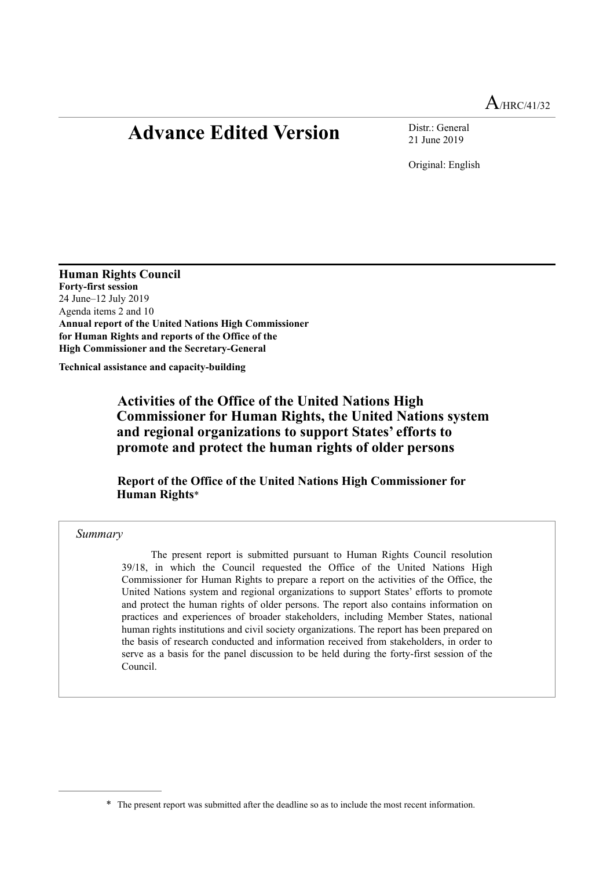# **Advance Edited Version** Distr.: General

21 June 2019

Original: English

**Human Rights Council Forty-first session**  24 June–12 July 2019 Agenda items 2 and 10 **Annual report of the United Nations High Commissioner for Human Rights and reports of the Office of the High Commissioner and the Secretary-General** 

**Technical assistance and capacity-building** 

 **Activities of the Office of the United Nations High Commissioner for Human Rights, the United Nations system and regional organizations to support States' efforts to promote and protect the human rights of older persons** 

<span id="page-0-1"></span> **Report of the Office of the United Nations High Commissioner for Human Rights**[\\*](#page-0-0)‑

*Summary*

 The present report is submitted pursuant to Human Rights Council resolution 39/18, in which the Council requested the Office of the United Nations High Commissioner for Human Rights to prepare a report on the activities of the Office, the United Nations system and regional organizations to support States' efforts to promote and protect the human rights of older persons. The report also contains information on practices and experiences of broader stakeholders, including Member States, national human rights institutions and civil society organizations. The report has been prepared on the basis of research conducted and information received from stakeholders, in order to serve as a basis for the panel discussion to be held during the forty-first session of the Council.

<span id="page-0-0"></span>[<sup>\\*</sup>](#page-0-1) The present report was submitted after the deadline so as to include the most recent information.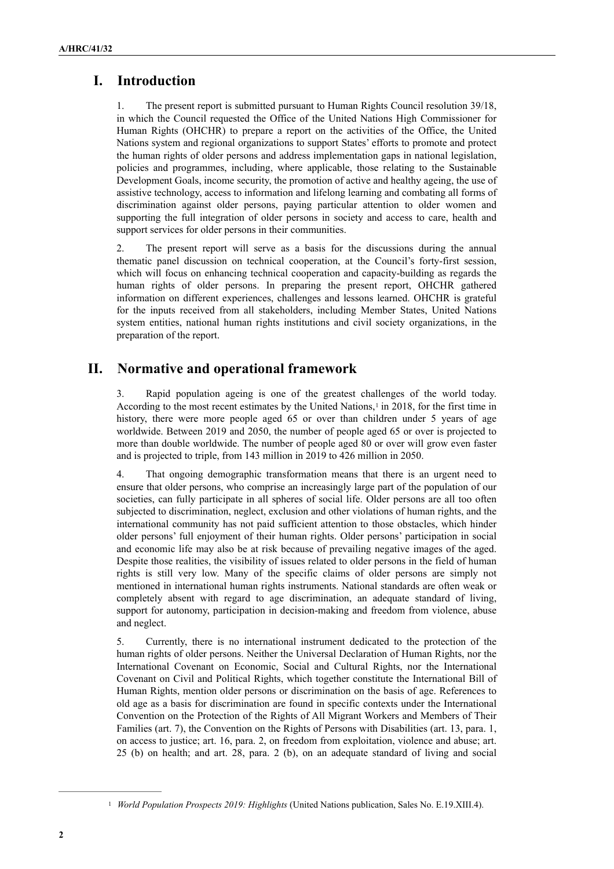# **I. Introduction**

1. The present report is submitted pursuant to Human Rights Council resolution 39/18, in which the Council requested the Office of the United Nations High Commissioner for Human Rights (OHCHR) to prepare a report on the activities of the Office, the United Nations system and regional organizations to support States' efforts to promote and protect the human rights of older persons and address implementation gaps in national legislation, policies and programmes, including, where applicable, those relating to the Sustainable Development Goals, income security, the promotion of active and healthy ageing, the use of assistive technology, access to information and lifelong learning and combating all forms of discrimination against older persons, paying particular attention to older women and supporting the full integration of older persons in society and access to care, health and support services for older persons in their communities.

2. The present report will serve as a basis for the discussions during the annual thematic panel discussion on technical cooperation, at the Council's forty-first session, which will focus on enhancing technical cooperation and capacity-building as regards the human rights of older persons. In preparing the present report, OHCHR gathered information on different experiences, challenges and lessons learned. OHCHR is grateful for the inputs received from all stakeholders, including Member States, United Nations system entities, national human rights institutions and civil society organizations, in the preparation of the report.

# **II. Normative and operational framework**

<span id="page-1-1"></span>3. Rapid population ageing is one of the greatest challenges of the world today. According to the most recent estimates by the United Nations,in 2018, for the first time in [1](#page-1-0) history, there were more people aged 65 or over than children under 5 years of age worldwide. Between 2019 and 2050, the number of people aged 65 or over is projected to more than double worldwide. The number of people aged 80 or over will grow even faster and is projected to triple, from 143 million in 2019 to 426 million in 2050.

4. That ongoing demographic transformation means that there is an urgent need to ensure that older persons, who comprise an increasingly large part of the population of our societies, can fully participate in all spheres of social life. Older persons are all too often subjected to discrimination, neglect, exclusion and other violations of human rights, and the international community has not paid sufficient attention to those obstacles, which hinder older persons' full enjoyment of their human rights. Older persons' participation in social and economic life may also be at risk because of prevailing negative images of the aged. Despite those realities, the visibility of issues related to older persons in the field of human rights is still very low. Many of the specific claims of older persons are simply not mentioned in international human rights instruments. National standards are often weak or completely absent with regard to age discrimination, an adequate standard of living, support for autonomy, participation in decision-making and freedom from violence, abuse and neglect.

5. Currently, there is no international instrument dedicated to the protection of the human rights of older persons. Neither the Universal Declaration of Human Rights, nor the International Covenant on Economic, Social and Cultural Rights, nor the International Covenant on Civil and Political Rights, which together constitute the International Bill of Human Rights, mention older persons or discrimination on the basis of age. References to old age as a basis for discrimination are found in specific contexts under the International Convention on the Protection of the Rights of All Migrant Workers and Members of Their Families (art. 7), the Convention on the Rights of Persons with Disabilities (art. 13, para. 1, on access to justice; art. 16, para. 2, on freedom from exploitation, violence and abuse; art. 25 (b) on health; and art. 28, para. 2 (b), on an adequate standard of living and social

<span id="page-1-0"></span><sup>&</sup>lt;sup>[1](#page-1-1)</sup> *World Population Prospects 2019: Highlights* (United Nations publication, Sales No. E.19.XIII.4).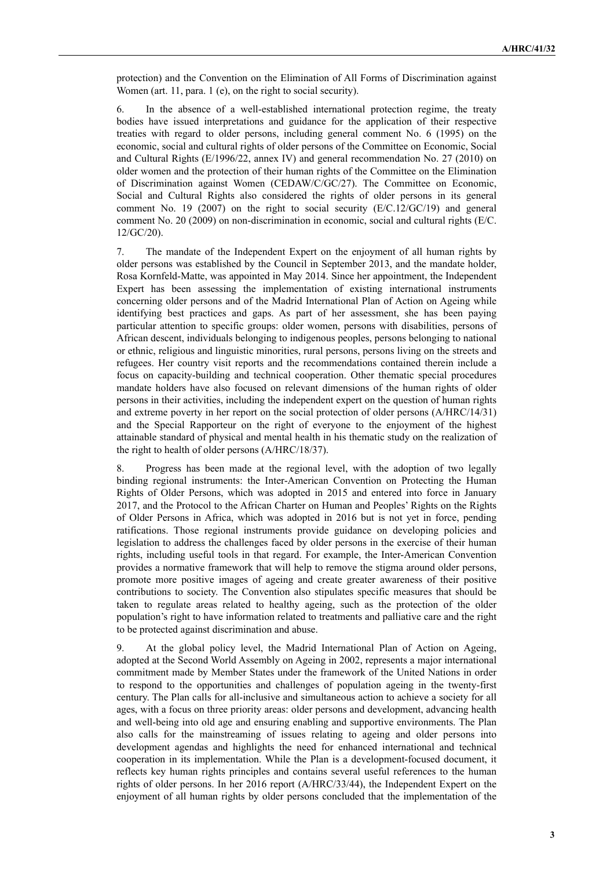protection) and the Convention on the Elimination of All Forms of Discrimination against Women (art. 11, para. 1 (e), on the right to social security).

6. In the absence of a well-established international protection regime, the treaty bodies have issued interpretations and guidance for the application of their respective treaties with regard to older persons, including general comment No. 6 (1995) on the economic, social and cultural rights of older persons of the Committee on Economic, Social and Cultural Rights (E/1996/22, annex IV) and general recommendation No. 27 (2010) on older women and the protection of their human rights of the Committee on the Elimination of Discrimination against Women (CEDAW/C/GC/27). The Committee on Economic, Social and Cultural Rights also considered the rights of older persons in its general comment No. 19 (2007) on the right to social security  $(E/C.12/GC/19)$  and general comment No. 20 (2009) on non-discrimination in economic, social and cultural rights (E/C. 12/GC/20).

7. The mandate of the Independent Expert on the enjoyment of all human rights by older persons was established by the Council in September 2013, and the mandate holder, Rosa Kornfeld-Matte, was appointed in May 2014. Since her appointment, the Independent Expert has been assessing the implementation of existing international instruments concerning older persons and of the Madrid International Plan of Action on Ageing while identifying best practices and gaps. As part of her assessment, she has been paying particular attention to specific groups: older women, persons with disabilities, persons of African descent, individuals belonging to indigenous peoples, persons belonging to national or ethnic, religious and linguistic minorities, rural persons, persons living on the streets and refugees. Her country visit reports and the recommendations contained therein include a focus on capacity-building and technical cooperation. Other thematic special procedures mandate holders have also focused on relevant dimensions of the human rights of older persons in their activities, including the independent expert on the question of human rights and extreme poverty in her report on the social protection of older persons (A/HRC/14/31) and the Special Rapporteur on the right of everyone to the enjoyment of the highest attainable standard of physical and mental health in his thematic study on the realization of the right to health of older persons (A/HRC/18/37).

8. Progress has been made at the regional level, with the adoption of two legally binding regional instruments: the Inter-American Convention on Protecting the Human Rights of Older Persons, which was adopted in 2015 and entered into force in January 2017, and the Protocol to the African Charter on Human and Peoples' Rights on the Rights of Older Persons in Africa, which was adopted in 2016 but is not yet in force, pending ratifications. Those regional instruments provide guidance on developing policies and legislation to address the challenges faced by older persons in the exercise of their human rights, including useful tools in that regard. For example, the Inter-American Convention provides a normative framework that will help to remove the stigma around older persons, promote more positive images of ageing and create greater awareness of their positive contributions to society. The Convention also stipulates specific measures that should be taken to regulate areas related to healthy ageing, such as the protection of the older population's right to have information related to treatments and palliative care and the right to be protected against discrimination and abuse.

9. At the global policy level, the Madrid International Plan of Action on Ageing, adopted at the Second World Assembly on Ageing in 2002, represents a major international commitment made by Member States under the framework of the United Nations in order to respond to the opportunities and challenges of population ageing in the twenty-first century. The Plan calls for all-inclusive and simultaneous action to achieve a society for all ages, with a focus on three priority areas: older persons and development, advancing health and well-being into old age and ensuring enabling and supportive environments. The Plan also calls for the mainstreaming of issues relating to ageing and older persons into development agendas and highlights the need for enhanced international and technical cooperation in its implementation. While the Plan is a development-focused document, it reflects key human rights principles and contains several useful references to the human rights of older persons. In her 2016 report (A/HRC/33/44), the Independent Expert on the enjoyment of all human rights by older persons concluded that the implementation of the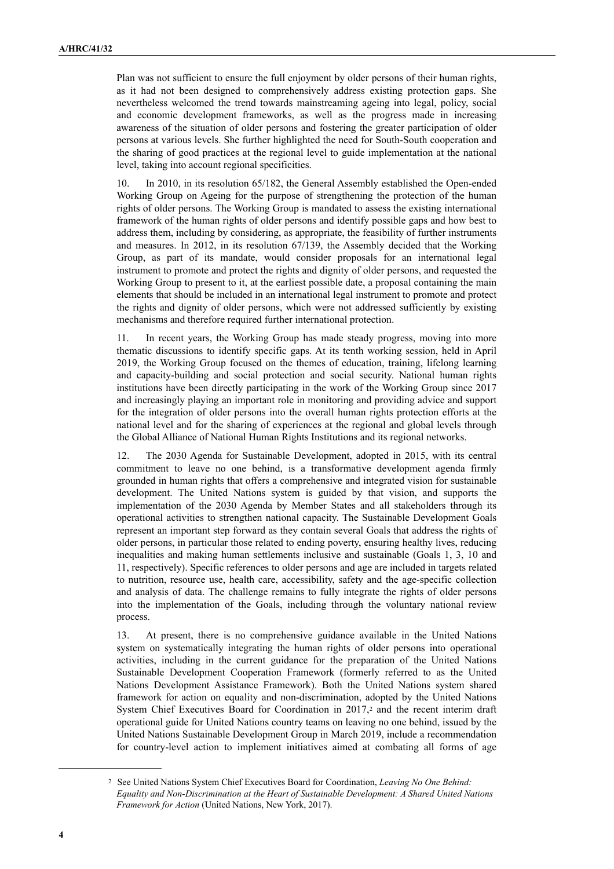Plan was not sufficient to ensure the full enjoyment by older persons of their human rights, as it had not been designed to comprehensively address existing protection gaps. She nevertheless welcomed the trend towards mainstreaming ageing into legal, policy, social and economic development frameworks, as well as the progress made in increasing awareness of the situation of older persons and fostering the greater participation of older persons at various levels. She further highlighted the need for South-South cooperation and the sharing of good practices at the regional level to guide implementation at the national level, taking into account regional specificities.

10. In 2010, in its resolution 65/182, the General Assembly established the Open-ended Working Group on Ageing for the purpose of strengthening the protection of the human rights of older persons. The Working Group is mandated to assess the existing international framework of the human rights of older persons and identify possible gaps and how best to address them, including by considering, as appropriate, the feasibility of further instruments and measures. In 2012, in its resolution 67/139, the Assembly decided that the Working Group, as part of its mandate, would consider proposals for an international legal instrument to promote and protect the rights and dignity of older persons, and requested the Working Group to present to it, at the earliest possible date, a proposal containing the main elements that should be included in an international legal instrument to promote and protect the rights and dignity of older persons, which were not addressed sufficiently by existing mechanisms and therefore required further international protection.

11. In recent years, the Working Group has made steady progress, moving into more thematic discussions to identify specific gaps. At its tenth working session, held in April 2019, the Working Group focused on the themes of education, training, lifelong learning and capacity-building and social protection and social security. National human rights institutions have been directly participating in the work of the Working Group since 2017 and increasingly playing an important role in monitoring and providing advice and support for the integration of older persons into the overall human rights protection efforts at the national level and for the sharing of experiences at the regional and global levels through the Global Alliance of National Human Rights Institutions and its regional networks.

12. The 2030 Agenda for Sustainable Development, adopted in 2015, with its central commitment to leave no one behind, is a transformative development agenda firmly grounded in human rights that offers a comprehensive and integrated vision for sustainable development. The United Nations system is guided by that vision, and supports the implementation of the 2030 Agenda by Member States and all stakeholders through its operational activities to strengthen national capacity. The Sustainable Development Goals represent an important step forward as they contain several Goals that address the rights of older persons, in particular those related to ending poverty, ensuring healthy lives, reducing inequalities and making human settlements inclusive and sustainable (Goals 1, 3, 10 and 11, respectively). Specific references to older persons and age are included in targets related to nutrition, resource use, health care, accessibility, safety and the age-specific collection and analysis of data. The challenge remains to fully integrate the rights of older persons into the implementation of the Goals, including through the voluntary national review process.

<span id="page-3-1"></span>13. At present, there is no comprehensive guidance available in the United Nations system on systematically integrating the human rights of older persons into operational activities, including in the current guidance for the preparation of the United Nations Sustainable Development Cooperation Framework (formerly referred to as the United Nations Development Assistance Framework). Both the United Nations system shared framework for action on equality and non-discrimination, adopted by the United Nations SystemChief Executives Board for Coordination in [2](#page-3-0)017,<sup>2</sup> and the recent interim draft operational guide for United Nations country teams on leaving no one behind, issued by the United Nations Sustainable Development Group in March 2019, include a recommendation for country-level action to implement initiatives aimed at combating all forms of age

<span id="page-3-0"></span><sup>&</sup>lt;sup>[2](#page-3-1)</sup> See United Nations System Chief Executives Board for Coordination, *Leaving No One Behind*: *Equality and Non-Discrimination at the Heart of Sustainable Development: A Shared United Nations Framework for Action* (United Nations, New York, 2017).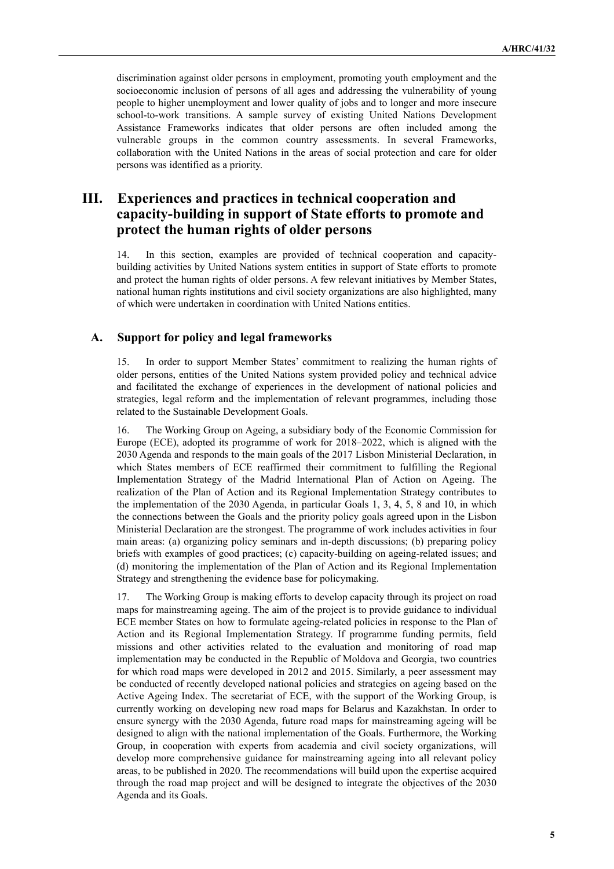discrimination against older persons in employment, promoting youth employment and the socioeconomic inclusion of persons of all ages and addressing the vulnerability of young people to higher unemployment and lower quality of jobs and to longer and more insecure school-to-work transitions. A sample survey of existing United Nations Development Assistance Frameworks indicates that older persons are often included among the vulnerable groups in the common country assessments. In several Frameworks, collaboration with the United Nations in the areas of social protection and care for older persons was identified as a priority.

# **III. Experiences and practices in technical cooperation and capacity-building in support of State efforts to promote and protect the human rights of older persons**

14. In this section, examples are provided of technical cooperation and capacitybuilding activities by United Nations system entities in support of State efforts to promote and protect the human rights of older persons. A few relevant initiatives by Member States, national human rights institutions and civil society organizations are also highlighted, many of which were undertaken in coordination with United Nations entities.

#### **A. Support for policy and legal frameworks**

15. In order to support Member States' commitment to realizing the human rights of older persons, entities of the United Nations system provided policy and technical advice and facilitated the exchange of experiences in the development of national policies and strategies, legal reform and the implementation of relevant programmes, including those related to the Sustainable Development Goals.

16. The Working Group on Ageing, a subsidiary body of the Economic Commission for Europe (ECE), adopted its programme of work for 2018–2022, which is aligned with the 2030 Agenda and responds to the main goals of the 2017 Lisbon Ministerial Declaration, in which States members of ECE reaffirmed their commitment to fulfilling the Regional Implementation Strategy of the Madrid International Plan of Action on Ageing. The realization of the Plan of Action and its Regional Implementation Strategy contributes to the implementation of the 2030 Agenda, in particular Goals 1, 3, 4, 5, 8 and 10, in which the connections between the Goals and the priority policy goals agreed upon in the Lisbon Ministerial Declaration are the strongest. The programme of work includes activities in four main areas: (a) organizing policy seminars and in-depth discussions; (b) preparing policy briefs with examples of good practices; (c) capacity-building on ageing-related issues; and (d) monitoring the implementation of the Plan of Action and its Regional Implementation Strategy and strengthening the evidence base for policymaking.

17. The Working Group is making efforts to develop capacity through its project on road maps for mainstreaming ageing. The aim of the project is to provide guidance to individual ECE member States on how to formulate ageing-related policies in response to the Plan of Action and its Regional Implementation Strategy. If programme funding permits, field missions and other activities related to the evaluation and monitoring of road map implementation may be conducted in the Republic of Moldova and Georgia, two countries for which road maps were developed in 2012 and 2015. Similarly, a peer assessment may be conducted of recently developed national policies and strategies on ageing based on the Active Ageing Index. The secretariat of ECE, with the support of the Working Group, is currently working on developing new road maps for Belarus and Kazakhstan. In order to ensure synergy with the 2030 Agenda, future road maps for mainstreaming ageing will be designed to align with the national implementation of the Goals. Furthermore, the Working Group, in cooperation with experts from academia and civil society organizations, will develop more comprehensive guidance for mainstreaming ageing into all relevant policy areas, to be published in 2020. The recommendations will build upon the expertise acquired through the road map project and will be designed to integrate the objectives of the 2030 Agenda and its Goals.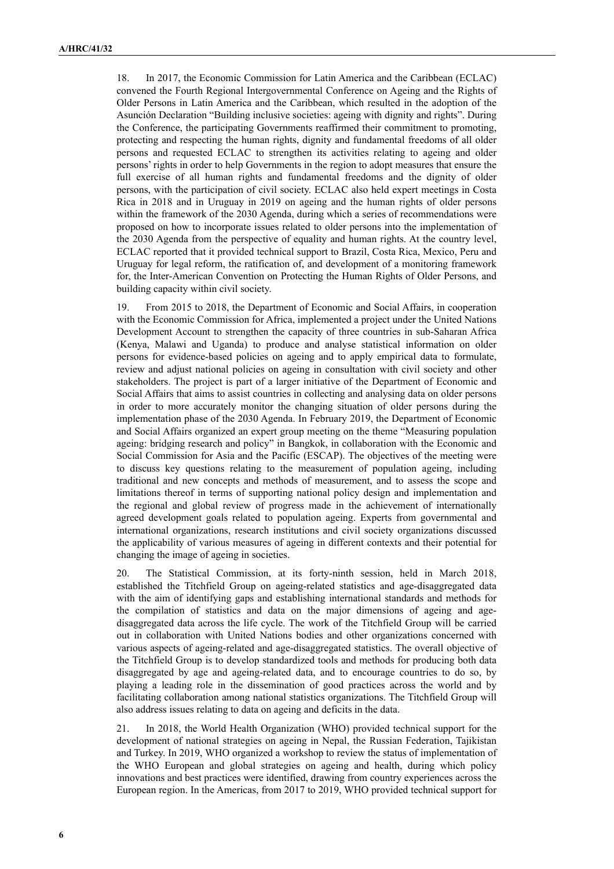18. In 2017, the Economic Commission for Latin America and the Caribbean (ECLAC) convened the Fourth Regional Intergovernmental Conference on Ageing and the Rights of Older Persons in Latin America and the Caribbean, which resulted in the adoption of the Asunción Declaration "Building inclusive societies: ageing with dignity and rights". During the Conference, the participating Governments reaffirmed their commitment to promoting, protecting and respecting the human rights, dignity and fundamental freedoms of all older persons and requested ECLAC to strengthen its activities relating to ageing and older persons' rights in order to help Governments in the region to adopt measures that ensure the full exercise of all human rights and fundamental freedoms and the dignity of older persons, with the participation of civil society. ECLAC also held expert meetings in Costa Rica in 2018 and in Uruguay in 2019 on ageing and the human rights of older persons within the framework of the 2030 Agenda, during which a series of recommendations were proposed on how to incorporate issues related to older persons into the implementation of the 2030 Agenda from the perspective of equality and human rights. At the country level, ECLAC reported that it provided technical support to Brazil, Costa Rica, Mexico, Peru and Uruguay for legal reform, the ratification of, and development of a monitoring framework for, the Inter-American Convention on Protecting the Human Rights of Older Persons, and building capacity within civil society.

19. From 2015 to 2018, the Department of Economic and Social Affairs, in cooperation with the Economic Commission for Africa, implemented a project under the United Nations Development Account to strengthen the capacity of three countries in sub-Saharan Africa (Kenya, Malawi and Uganda) to produce and analyse statistical information on older persons for evidence-based policies on ageing and to apply empirical data to formulate, review and adjust national policies on ageing in consultation with civil society and other stakeholders. The project is part of a larger initiative of the Department of Economic and Social Affairs that aims to assist countries in collecting and analysing data on older persons in order to more accurately monitor the changing situation of older persons during the implementation phase of the 2030 Agenda. In February 2019, the Department of Economic and Social Affairs organized an expert group meeting on the theme "Measuring population ageing: bridging research and policy" in Bangkok, in collaboration with the Economic and Social Commission for Asia and the Pacific (ESCAP). The objectives of the meeting were to discuss key questions relating to the measurement of population ageing, including traditional and new concepts and methods of measurement, and to assess the scope and limitations thereof in terms of supporting national policy design and implementation and the regional and global review of progress made in the achievement of internationally agreed development goals related to population ageing. Experts from governmental and international organizations, research institutions and civil society organizations discussed the applicability of various measures of ageing in different contexts and their potential for changing the image of ageing in societies.

20. The Statistical Commission, at its forty-ninth session, held in March 2018, established the Titchfield Group on ageing-related statistics and age-disaggregated data with the aim of identifying gaps and establishing international standards and methods for the compilation of statistics and data on the major dimensions of ageing and agedisaggregated data across the life cycle. The work of the Titchfield Group will be carried out in collaboration with United Nations bodies and other organizations concerned with various aspects of ageing-related and age-disaggregated statistics. The overall objective of the Titchfield Group is to develop standardized tools and methods for producing both data disaggregated by age and ageing-related data, and to encourage countries to do so, by playing a leading role in the dissemination of good practices across the world and by facilitating collaboration among national statistics organizations. The Titchfield Group will also address issues relating to data on ageing and deficits in the data.

21. In 2018, the World Health Organization (WHO) provided technical support for the development of national strategies on ageing in Nepal, the Russian Federation, Tajikistan and Turkey. In 2019, WHO organized a workshop to review the status of implementation of the WHO European and global strategies on ageing and health, during which policy innovations and best practices were identified, drawing from country experiences across the European region. In the Americas, from 2017 to 2019, WHO provided technical support for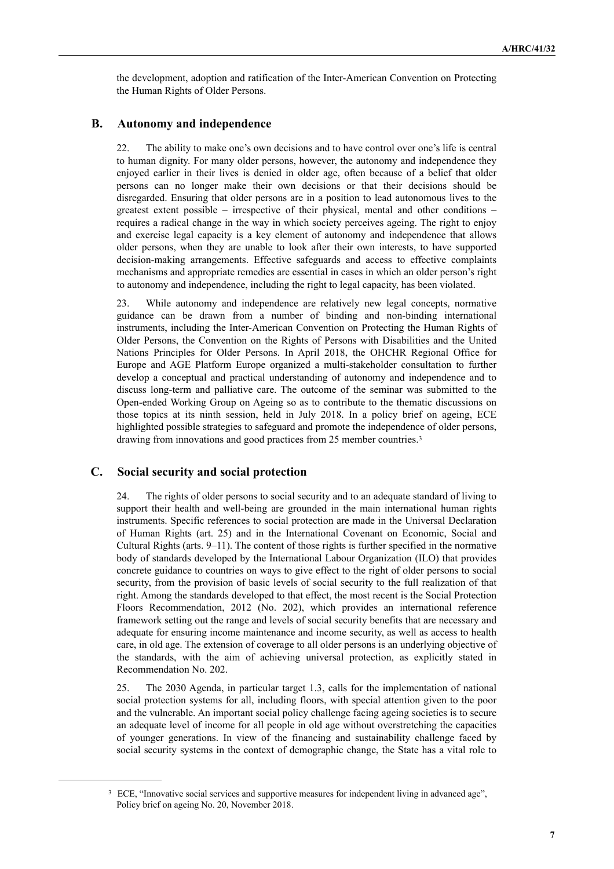the development, adoption and ratification of the Inter-American Convention on Protecting the Human Rights of Older Persons.

# **B. Autonomy and independence**

22. The ability to make one's own decisions and to have control over one's life is central to human dignity. For many older persons, however, the autonomy and independence they enjoyed earlier in their lives is denied in older age, often because of a belief that older persons can no longer make their own decisions or that their decisions should be disregarded. Ensuring that older persons are in a position to lead autonomous lives to the greatest extent possible – irrespective of their physical, mental and other conditions – requires a radical change in the way in which society perceives ageing. The right to enjoy and exercise legal capacity is a key element of autonomy and independence that allows older persons, when they are unable to look after their own interests, to have supported decision-making arrangements. Effective safeguards and access to effective complaints mechanisms and appropriate remedies are essential in cases in which an older person's right to autonomy and independence, including the right to legal capacity, has been violated.

23. While autonomy and independence are relatively new legal concepts, normative guidance can be drawn from a number of binding and non-binding international instruments, including the Inter-American Convention on Protecting the Human Rights of Older Persons, the Convention on the Rights of Persons with Disabilities and the United Nations Principles for Older Persons. In April 2018, the OHCHR Regional Office for Europe and AGE Platform Europe organized a multi-stakeholder consultation to further develop a conceptual and practical understanding of autonomy and independence and to discuss long-term and palliative care. The outcome of the seminar was submitted to the Open-ended Working Group on Ageing so as to contribute to the thematic discussions on those topics at its ninth session, held in July 2018. In a policy brief on ageing, ECE highlighted possible strategies to safeguard and promote the independence of older persons, drawing from innovations and good practices from 25 member countries.[3](#page-6-0)

#### **C. Social security and social protection**

<span id="page-6-1"></span>24. The rights of older persons to social security and to an adequate standard of living to support their health and well-being are grounded in the main international human rights instruments. Specific references to social protection are made in the Universal Declaration of Human Rights (art. 25) and in the International Covenant on Economic, Social and Cultural Rights (arts. 9–11). The content of those rights is further specified in the normative body of standards developed by the International Labour Organization (ILO) that provides concrete guidance to countries on ways to give effect to the right of older persons to social security, from the provision of basic levels of social security to the full realization of that right. Among the standards developed to that effect, the most recent is the Social Protection Floors Recommendation, 2012 (No. 202), which provides an international reference framework setting out the range and levels of social security benefits that are necessary and adequate for ensuring income maintenance and income security, as well as access to health care, in old age. The extension of coverage to all older persons is an underlying objective of the standards, with the aim of achieving universal protection, as explicitly stated in Recommendation No. 202.

25. The 2030 Agenda, in particular target 1.3, calls for the implementation of national social protection systems for all, including floors, with special attention given to the poor and the vulnerable. An important social policy challenge facing ageing societies is to secure an adequate level of income for all people in old age without overstretching the capacities of younger generations. In view of the financing and sustainability challenge faced by social security systems in the context of demographic change, the State has a vital role to

<span id="page-6-0"></span><sup>&</sup>lt;sup>[3](#page-6-1)</sup> ECE, "Innovative social services and supportive measures for independent living in advanced age", Policy brief on ageing No. 20, November 2018.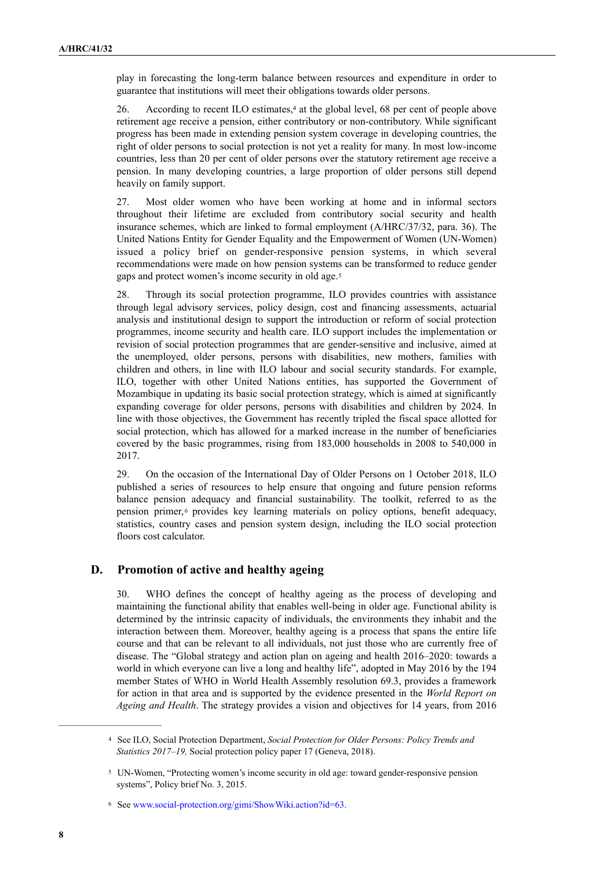play in forecasting the long-term balance between resources and expenditure in order to guarantee that institutions will meet their obligations towards older persons.

<span id="page-7-3"></span>26.According to recent ILO estimates,<sup>[4](#page-7-0)</sup> at the global level, 68 per cent of people above retirement age receive a pension, either contributory or non-contributory. While significant progress has been made in extending pension system coverage in developing countries, the right of older persons to social protection is not yet a reality for many. In most low-income countries, less than 20 per cent of older persons over the statutory retirement age receive a pension. In many developing countries, a large proportion of older persons still depend heavily on family support.

27. Most older women who have been working at home and in informal sectors throughout their lifetime are excluded from contributory social security and health insurance schemes, which are linked to formal employment (A/HRC/37/32, para. 36). The United Nations Entity for Gender Equality and the Empowerment of Women (UN-Women) issued a policy brief on gender-responsive pension systems, in which several recommendations were made on how pension systems can be transformed to reduce gender gaps and protect women's income security in old age.[5](#page-7-1)

<span id="page-7-4"></span>28. Through its social protection programme, ILO provides countries with assistance through legal advisory services, policy design, cost and financing assessments, actuarial analysis and institutional design to support the introduction or reform of social protection programmes, income security and health care. ILO support includes the implementation or revision of social protection programmes that are gender-sensitive and inclusive, aimed at the unemployed, older persons, persons with disabilities, new mothers, families with children and others, in line with ILO labour and social security standards. For example, ILO, together with other United Nations entities, has supported the Government of Mozambique in updating its basic social protection strategy, which is aimed at significantly expanding coverage for older persons, persons with disabilities and children by 2024. In line with those objectives, the Government has recently tripled the fiscal space allotted for social protection, which has allowed for a marked increase in the number of beneficiaries covered by the basic programmes, rising from 183,000 households in 2008 to 540,000 in 2017.

<span id="page-7-5"></span>29. On the occasion of the International Day of Older Persons on 1 October 2018, ILO published a series of resources to help ensure that ongoing and future pension reforms balance pension adequacy and financial sustainability. The toolkit, referred to as the pensionprimer, o provides key learning materials on policy options, benefit adequacy, statistics, country cases and pension system design, including the ILO social protection floors cost calculator.

#### **D. Promotion of active and healthy ageing**

30. WHO defines the concept of healthy ageing as the process of developing and maintaining the functional ability that enables well-being in older age. Functional ability is determined by the intrinsic capacity of individuals, the environments they inhabit and the interaction between them. Moreover, healthy ageing is a process that spans the entire life course and that can be relevant to all individuals, not just those who are currently free of disease. The "Global strategy and action plan on ageing and health 2016–2020: towards a world in which everyone can live a long and healthy life", adopted in May 2016 by the 194 member States of WHO in World Health Assembly resolution 69.3, provides a framework for action in that area and is supported by the evidence presented in the *World Report on Ageing and Health*. The strategy provides a vision and objectives for 14 years, from 2016

<span id="page-7-0"></span>See ILO, Social Protection Department, *Social Protection for Older Persons: Policy Trends and* [4](#page-7-3) *Statistics 2017–19*, Social protection policy paper 17 (Geneva, 2018).

<span id="page-7-1"></span>UN-Women, "Protecting women's income security in old age: toward gender-responsive pension [5](#page-7-4) systems", Policy brief No. 3, 2015.

<span id="page-7-2"></span><sup>&</sup>lt;sup>[6](#page-7-5)</sup> See www.social-protection.org/gimi/ShowWiki.action?id=63.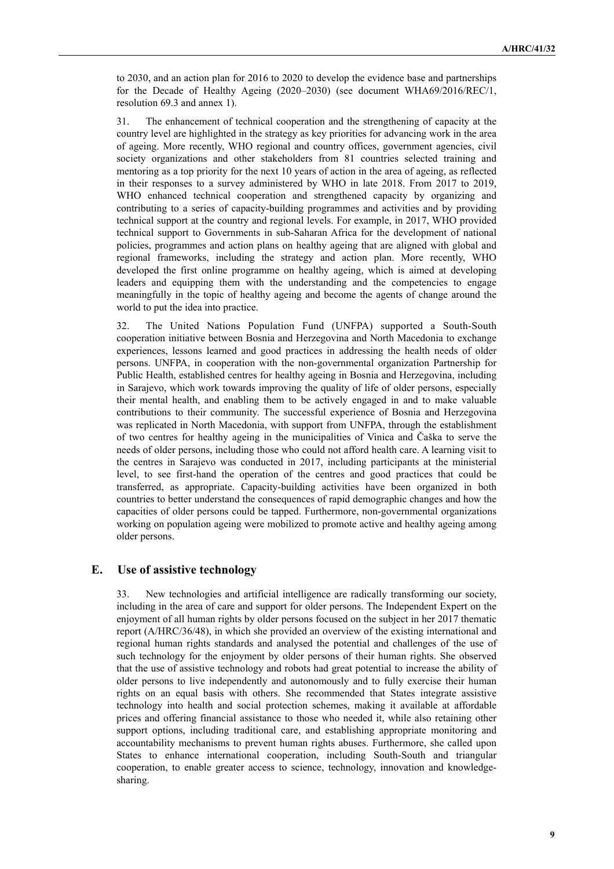to 2030, and an action plan for 2016 to 2020 to develop the evidence base and partnerships for the Decade of Healthy Ageing (2020–2030) (see document WHA69/2016/REC/1, resolution 69.3 and annex 1).

31. The enhancement of technical cooperation and the strengthening of capacity at the country level are highlighted in the strategy as key priorities for advancing work in the area of ageing. More recently, WHO regional and country offices, government agencies, civil society organizations and other stakeholders from 81 countries selected training and mentoring as a top priority for the next 10 years of action in the area of ageing, as reflected in their responses to a survey administered by WHO in late 2018. From 2017 to 2019, WHO enhanced technical cooperation and strengthened capacity by organizing and contributing to a series of capacity-building programmes and activities and by providing technical support at the country and regional levels. For example, in 2017, WHO provided technical support to Governments in sub-Saharan Africa for the development of national policies, programmes and action plans on healthy ageing that are aligned with global and regional frameworks, including the strategy and action plan. More recently, WHO developed the first online programme on healthy ageing, which is aimed at developing leaders and equipping them with the understanding and the competencies to engage meaningfully in the topic of healthy ageing and become the agents of change around the world to put the idea into practice.

32. The United Nations Population Fund (UNFPA) supported a South-South cooperation initiative between Bosnia and Herzegovina and North Macedonia to exchange experiences, lessons learned and good practices in addressing the health needs of older persons. UNFPA, in cooperation with the non-governmental organization Partnership for Public Health, established centres for healthy ageing in Bosnia and Herzegovina, including in Sarajevo, which work towards improving the quality of life of older persons, especially their mental health, and enabling them to be actively engaged in and to make valuable contributions to their community. The successful experience of Bosnia and Herzegovina was replicated in North Macedonia, with support from UNFPA, through the establishment of two centres for healthy ageing in the municipalities of Vinica and Čaška to serve the needs of older persons, including those who could not afford health care. A learning visit to the centres in Sarajevo was conducted in 2017, including participants at the ministerial level, to see first-hand the operation of the centres and good practices that could be transferred, as appropriate. Capacity-building activities have been organized in both countries to better understand the consequences of rapid demographic changes and how the capacities of older persons could be tapped. Furthermore, non-governmental organizations working on population ageing were mobilized to promote active and healthy ageing among older persons.

# **E. Use of assistive technology**

New technologies and artificial intelligence are radically transforming our society, including in the area of care and support for older persons. The Independent Expert on the enjoyment of all human rights by older persons focused on the subject in her 2017 thematic report (A/HRC/36/48), in which she provided an overview of the existing international and regional human rights standards and analysed the potential and challenges of the use of such technology for the enjoyment by older persons of their human rights. She observed that the use of assistive technology and robots had great potential to increase the ability of older persons to live independently and autonomously and to fully exercise their human rights on an equal basis with others. She recommended that States integrate assistive technology into health and social protection schemes, making it available at affordable prices and offering financial assistance to those who needed it, while also retaining other support options, including traditional care, and establishing appropriate monitoring and accountability mechanisms to prevent human rights abuses. Furthermore, she called upon States to enhance international cooperation, including South-South and triangular cooperation, to enable greater access to science, technology, innovation and knowledgesharing.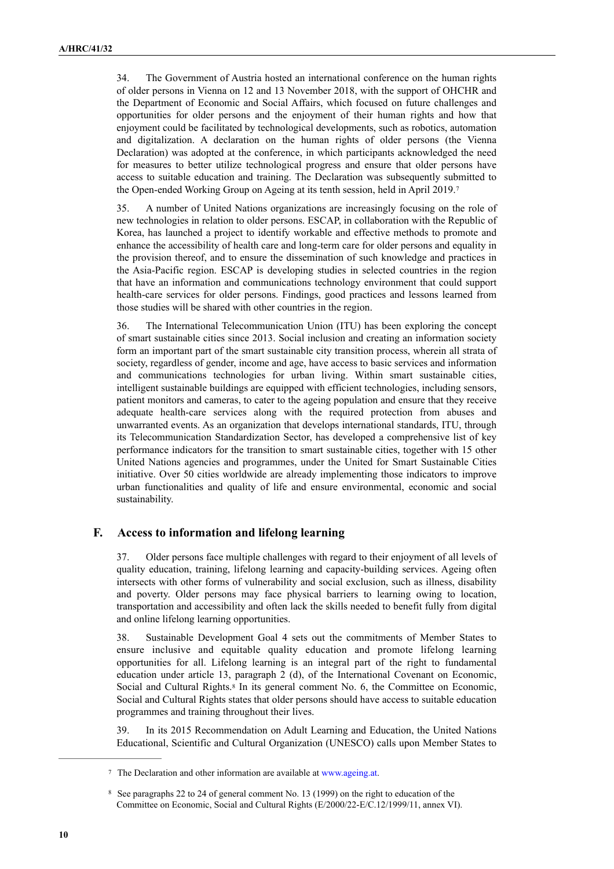34. The Government of Austria hosted an international conference on the human rights of older persons in Vienna on 12 and 13 November 2018, with the support of OHCHR and the Department of Economic and Social Affairs, which focused on future challenges and opportunities for older persons and the enjoyment of their human rights and how that enjoyment could be facilitated by technological developments, such as robotics, automation and digitalization. A declaration on the human rights of older persons (the Vienna Declaration) was adopted at the conference, in which participants acknowledged the need for measures to better utilize technological progress and ensure that older persons have access to suitable education and training. The Declaration was subsequently submitted to the Open-ended Working Group on Ageing at its tenth session, held in April 2019.[7](#page-9-0)

<span id="page-9-2"></span>35. A number of United Nations organizations are increasingly focusing on the role of new technologies in relation to older persons. ESCAP, in collaboration with the Republic of Korea, has launched a project to identify workable and effective methods to promote and enhance the accessibility of health care and long-term care for older persons and equality in the provision thereof, and to ensure the dissemination of such knowledge and practices in the Asia-Pacific region. ESCAP is developing studies in selected countries in the region that have an information and communications technology environment that could support health-care services for older persons. Findings, good practices and lessons learned from those studies will be shared with other countries in the region.

36. The International Telecommunication Union (ITU) has been exploring the concept of smart sustainable cities since 2013. Social inclusion and creating an information society form an important part of the smart sustainable city transition process, wherein all strata of society, regardless of gender, income and age, have access to basic services and information and communications technologies for urban living. Within smart sustainable cities, intelligent sustainable buildings are equipped with efficient technologies, including sensors, patient monitors and cameras, to cater to the ageing population and ensure that they receive adequate health-care services along with the required protection from abuses and unwarranted events. As an organization that develops international standards, ITU, through its Telecommunication Standardization Sector, has developed a comprehensive list of key performance indicators for the transition to smart sustainable cities, together with 15 other United Nations agencies and programmes, under the United for Smart Sustainable Cities initiative. Over 50 cities worldwide are already implementing those indicators to improve urban functionalities and quality of life and ensure environmental, economic and social sustainability.

# **F. Access to information and lifelong learning**

37. Older persons face multiple challenges with regard to their enjoyment of all levels of quality education, training, lifelong learning and capacity-building services. Ageing often intersects with other forms of vulnerability and social exclusion, such as illness, disability and poverty. Older persons may face physical barriers to learning owing to location, transportation and accessibility and often lack the skills needed to benefit fully from digital and online lifelong learning opportunities.

38. Sustainable Development Goal 4 sets out the commitments of Member States to ensure inclusive and equitable quality education and promote lifelong learning opportunities for all. Lifelong learning is an integral part of the right to fundamental education under article 13, paragraph 2 (d), of the International Covenant on Economic, Socialand Cultural Rights.<sup>[8](#page-9-1)</sup> In its general comment No. 6, the Committee on Economic, Social and Cultural Rights states that older persons should have access to suitable education programmes and training throughout their lives.

<span id="page-9-3"></span>39. In its 2015 Recommendation on Adult Learning and Education, the United Nations Educational, Scientific and Cultural Organization (UNESCO) calls upon Member States to

<span id="page-9-0"></span><sup>&</sup>lt;sup>7</sup> The Declaration and other information are available at [www.ageing.at](http://www.ageing.at).

<span id="page-9-1"></span><sup>&</sup>lt;sup>[8](#page-9-3)</sup> See paragraphs 22 to 24 of general comment No. 13 (1999) on the right to education of the Committee on Economic, Social and Cultural Rights (E/2000/22-E/C.12/1999/11, annex VI).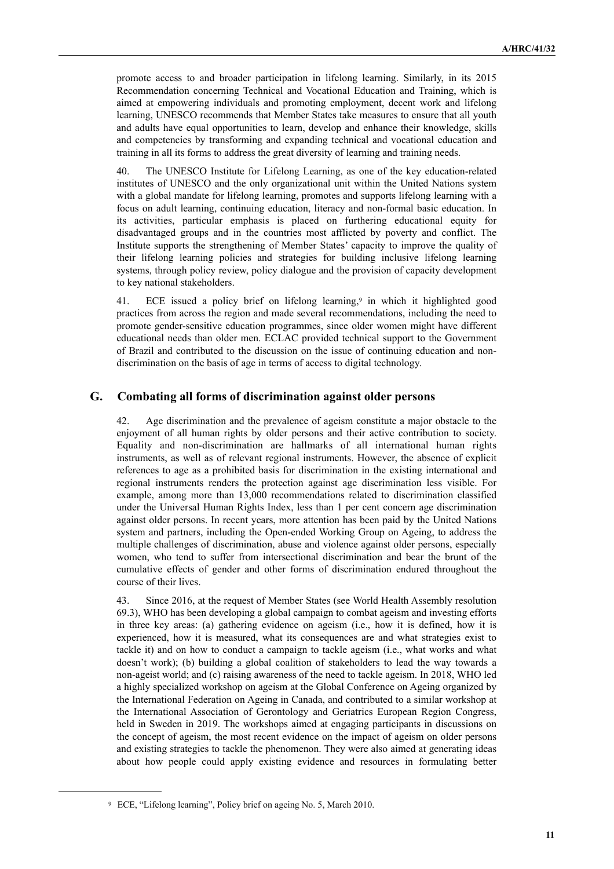promote access to and broader participation in lifelong learning. Similarly, in its 2015 Recommendation concerning Technical and Vocational Education and Training, which is aimed at empowering individuals and promoting employment, decent work and lifelong learning, UNESCO recommends that Member States take measures to ensure that all youth and adults have equal opportunities to learn, develop and enhance their knowledge, skills and competencies by transforming and expanding technical and vocational education and training in all its forms to address the great diversity of learning and training needs.

40. The UNESCO Institute for Lifelong Learning, as one of the key education-related institutes of UNESCO and the only organizational unit within the United Nations system with a global mandate for lifelong learning, promotes and supports lifelong learning with a focus on adult learning, continuing education, literacy and non-formal basic education. In its activities, particular emphasis is placed on furthering educational equity for disadvantaged groups and in the countries most afflicted by poverty and conflict. The Institute supports the strengthening of Member States' capacity to improve the quality of their lifelong learning policies and strategies for building inclusive lifelong learning systems, through policy review, policy dialogue and the provision of capacity development to key national stakeholders.

<span id="page-10-1"></span>41.ECE issued a policy brief on lifelong learning,<sup>[9](#page-10-0)</sup> in which it highlighted good practices from across the region and made several recommendations, including the need to promote gender-sensitive education programmes, since older women might have different educational needs than older men. ECLAC provided technical support to the Government of Brazil and contributed to the discussion on the issue of continuing education and nondiscrimination on the basis of age in terms of access to digital technology.

# **G. Combating all forms of discrimination against older persons**

42. Age discrimination and the prevalence of ageism constitute a major obstacle to the enjoyment of all human rights by older persons and their active contribution to society. Equality and non-discrimination are hallmarks of all international human rights instruments, as well as of relevant regional instruments. However, the absence of explicit references to age as a prohibited basis for discrimination in the existing international and regional instruments renders the protection against age discrimination less visible. For example, among more than 13,000 recommendations related to discrimination classified under the Universal Human Rights Index, less than 1 per cent concern age discrimination against older persons. In recent years, more attention has been paid by the United Nations system and partners, including the Open-ended Working Group on Ageing, to address the multiple challenges of discrimination, abuse and violence against older persons, especially women, who tend to suffer from intersectional discrimination and bear the brunt of the cumulative effects of gender and other forms of discrimination endured throughout the course of their lives.

43. Since 2016, at the request of Member States (see World Health Assembly resolution 69.3), WHO has been developing a global campaign to combat ageism and investing efforts in three key areas: (a) gathering evidence on ageism (i.e., how it is defined, how it is experienced, how it is measured, what its consequences are and what strategies exist to tackle it) and on how to conduct a campaign to tackle ageism (i.e., what works and what doesn't work); (b) building a global coalition of stakeholders to lead the way towards a non-ageist world; and (c) raising awareness of the need to tackle ageism. In 2018, WHO led a highly specialized workshop on ageism at the Global Conference on Ageing organized by the International Federation on Ageing in Canada, and contributed to a similar workshop at the International Association of Gerontology and Geriatrics European Region Congress, held in Sweden in 2019. The workshops aimed at engaging participants in discussions on the concept of ageism, the most recent evidence on the impact of ageism on older persons and existing strategies to tackle the phenomenon. They were also aimed at generating ideas about how people could apply existing evidence and resources in formulating better

<span id="page-10-0"></span><sup>&</sup>lt;sup>[9](#page-10-1)</sup> ECE, "Lifelong learning", Policy brief on ageing No. 5, March 2010.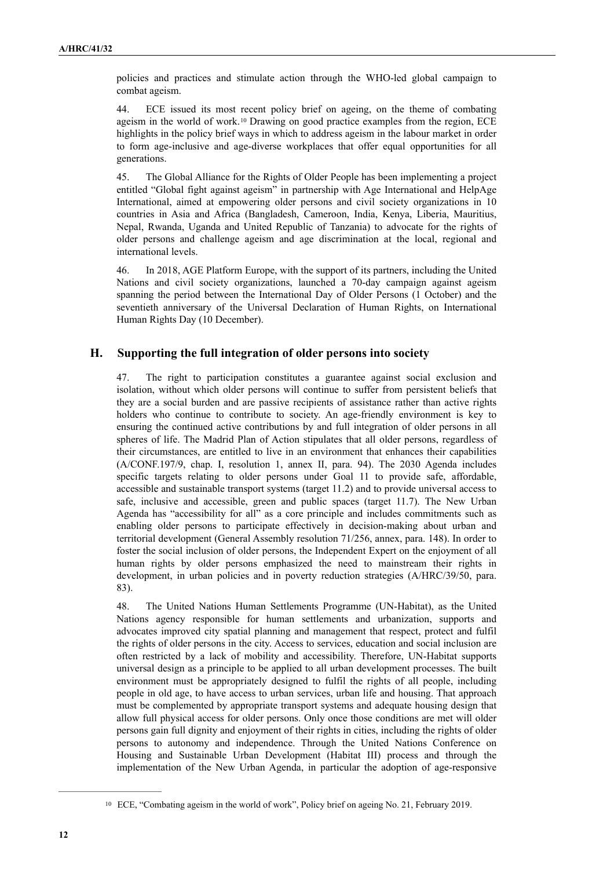policies and practices and stimulate action through the WHO-led global campaign to combat ageism.

<span id="page-11-1"></span>44. ECE issued its most recent policy brief on ageing, on the theme of combating ageismin the world of work.<sup>[10](#page-11-0)</sup> Drawing on good practice examples from the region, ECE highlights in the policy brief ways in which to address ageism in the labour market in order to form age-inclusive and age-diverse workplaces that offer equal opportunities for all generations.

45. The Global Alliance for the Rights of Older People has been implementing a project entitled "Global fight against ageism" in partnership with Age International and HelpAge International, aimed at empowering older persons and civil society organizations in 10 countries in Asia and Africa (Bangladesh, Cameroon, India, Kenya, Liberia, Mauritius, Nepal, Rwanda, Uganda and United Republic of Tanzania) to advocate for the rights of older persons and challenge ageism and age discrimination at the local, regional and international levels.

46. In 2018, AGE Platform Europe, with the support of its partners, including the United Nations and civil society organizations, launched a 70-day campaign against ageism spanning the period between the International Day of Older Persons (1 October) and the seventieth anniversary of the Universal Declaration of Human Rights, on International Human Rights Day (10 December).

# **H. Supporting the full integration of older persons into society**

47. The right to participation constitutes a guarantee against social exclusion and isolation, without which older persons will continue to suffer from persistent beliefs that they are a social burden and are passive recipients of assistance rather than active rights holders who continue to contribute to society. An age-friendly environment is key to ensuring the continued active contributions by and full integration of older persons in all spheres of life. The Madrid Plan of Action stipulates that all older persons, regardless of their circumstances, are entitled to live in an environment that enhances their capabilities (A/CONF.197/9, chap. I, resolution 1, annex II, para. 94). The 2030 Agenda includes specific targets relating to older persons under Goal 11 to provide safe, affordable, accessible and sustainable transport systems (target 11.2) and to provide universal access to safe, inclusive and accessible, green and public spaces (target 11.7). The New Urban Agenda has "accessibility for all" as a core principle and includes commitments such as enabling older persons to participate effectively in decision-making about urban and territorial development (General Assembly resolution 71/256, annex, para. 148). In order to foster the social inclusion of older persons, the Independent Expert on the enjoyment of all human rights by older persons emphasized the need to mainstream their rights in development, in urban policies and in poverty reduction strategies (A/HRC/39/50, para. 83).

48. The United Nations Human Settlements Programme (UN-Habitat), as the United Nations agency responsible for human settlements and urbanization, supports and advocates improved city spatial planning and management that respect, protect and fulfil the rights of older persons in the city. Access to services, education and social inclusion are often restricted by a lack of mobility and accessibility. Therefore, UN-Habitat supports universal design as a principle to be applied to all urban development processes. The built environment must be appropriately designed to fulfil the rights of all people, including people in old age, to have access to urban services, urban life and housing. That approach must be complemented by appropriate transport systems and adequate housing design that allow full physical access for older persons. Only once those conditions are met will older persons gain full dignity and enjoyment of their rights in cities, including the rights of older persons to autonomy and independence. Through the United Nations Conference on Housing and Sustainable Urban Development (Habitat III) process and through the implementation of the New Urban Agenda, in particular the adoption of age-responsive

<span id="page-11-0"></span><sup>&</sup>lt;sup>[10](#page-11-1)</sup> ECE, "Combating ageism in the world of work", Policy brief on ageing No. 21, February 2019.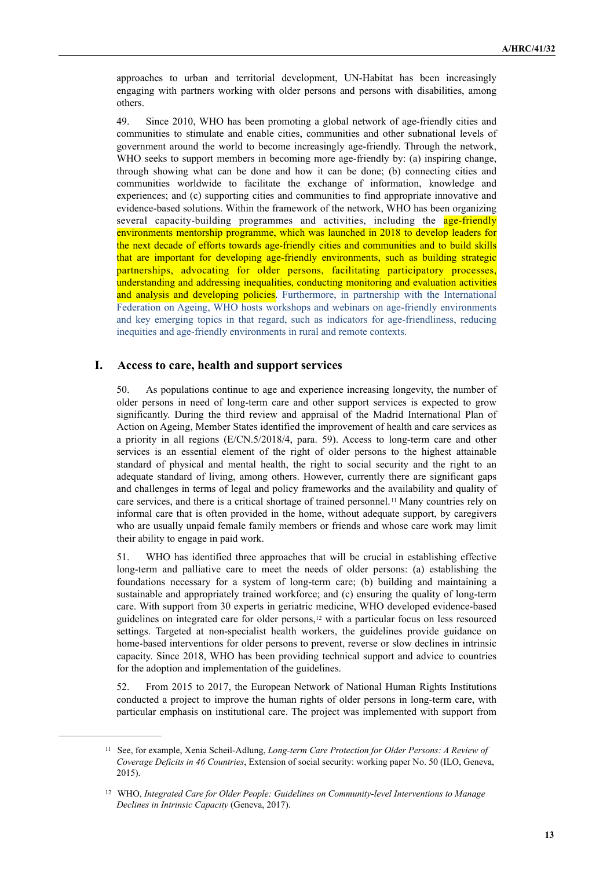approaches to urban and territorial development, UN-Habitat has been increasingly engaging with partners working with older persons and persons with disabilities, among others.

49. Since 2010, WHO has been promoting a global network of age-friendly cities and communities to stimulate and enable cities, communities and other subnational levels of government around the world to become increasingly age-friendly. Through the network, WHO seeks to support members in becoming more age-friendly by: (a) inspiring change, through showing what can be done and how it can be done; (b) connecting cities and communities worldwide to facilitate the exchange of information, knowledge and experiences; and (c) supporting cities and communities to find appropriate innovative and evidence-based solutions. Within the framework of the network, WHO has been organizing several capacity-building programmes and activities, including the **age-friendly** environments mentorship programme, which was launched in 2018 to develop leaders for the next decade of efforts towards age-friendly cities and communities and to build skills that are important for developing age-friendly environments, such as building strategic partnerships, advocating for older persons, facilitating participatory processes, understanding and addressing inequalities, conducting monitoring and evaluation activities and analysis and developing policies. Furthermore, in partnership with the International Federation on Ageing, WHO hosts workshops and webinars on age-friendly environments and key emerging topics in that regard, such as indicators for age-friendliness, reducing inequities and age-friendly environments in rural and remote contexts.

#### **I. Access to care, health and support services**

50. As populations continue to age and experience increasing longevity, the number of older persons in need of long-term care and other support services is expected to grow significantly. During the third review and appraisal of the Madrid International Plan of Action on Ageing, Member States identified the improvement of health and care services as a priority in all regions (E/CN.5/2018/4, para. 59). Access to long-term care and other services is an essential element of the right of older persons to the highest attainable standard of physical and mental health, the right to social security and the right to an adequate standard of living, among others. However, currently there are significant gaps and challenges in terms of legal and policy frameworks and the availability and quality of careservices, and there is a critical shortage of trained personnel.<sup>[11](#page-12-0)</sup> Many countries rely on informal care that is often provided in the home, without adequate support, by caregivers who are usually unpaid female family members or friends and whose care work may limit their ability to engage in paid work.

<span id="page-12-3"></span><span id="page-12-2"></span>51. WHO has identified three approaches that will be crucial in establishing effective long-term and palliative care to meet the needs of older persons: (a) establishing the foundations necessary for a system of long-term care; (b) building and maintaining a sustainable and appropriately trained workforce; and (c) ensuring the quality of long-term care. With support from 30 experts in geriatric medicine, WHO developed evidence-based guidelineson integrated care for older persons,<sup>[12](#page-12-1)</sup> with a particular focus on less resourced settings. Targeted at non-specialist health workers, the guidelines provide guidance on home-based interventions for older persons to prevent, reverse or slow declines in intrinsic capacity. Since 2018, WHO has been providing technical support and advice to countries for the adoption and implementation of the guidelines.

52. From 2015 to 2017, the European Network of National Human Rights Institutions conducted a project to improve the human rights of older persons in long-term care, with particular emphasis on institutional care. The project was implemented with support from

<span id="page-12-0"></span><sup>&</sup>lt;sup>[11](#page-12-2)</sup> See, for example, Xenia Scheil-Adlung, *Long-term Care Protection for Older Persons: A Review of Coverage Deficits in 46 Countries*, Extension of social security: working paper No. 50 (ILO, Geneva, 2015).

<span id="page-12-1"></span><sup>&</sup>lt;sup>[12](#page-12-3)</sup> WHO, Integrated Care for Older People: Guidelines on Community-level Interventions to Manage *Declines in Intrinsic Capacity* (Geneva, 2017).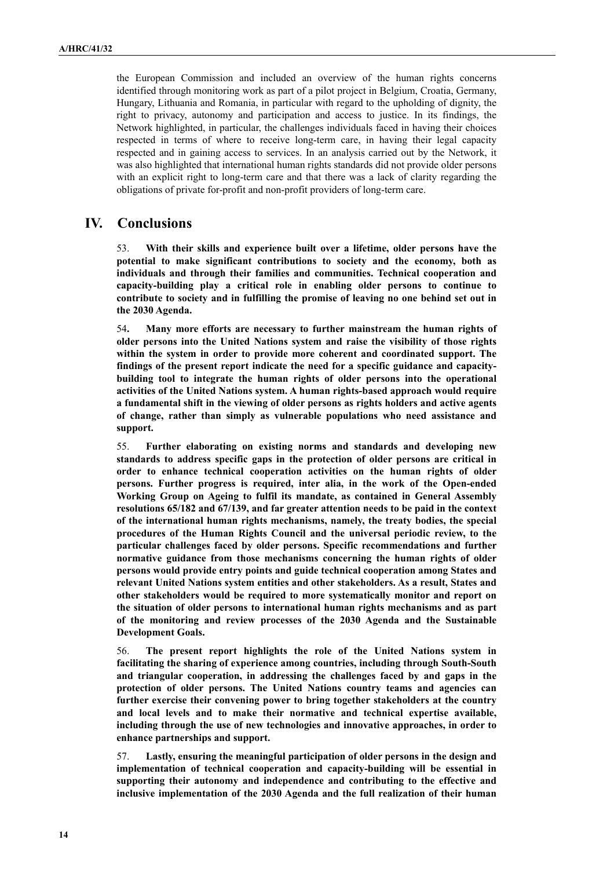the European Commission and included an overview of the human rights concerns identified through monitoring work as part of a pilot project in Belgium, Croatia, Germany, Hungary, Lithuania and Romania, in particular with regard to the upholding of dignity, the right to privacy, autonomy and participation and access to justice. In its findings, the Network highlighted, in particular, the challenges individuals faced in having their choices respected in terms of where to receive long-term care, in having their legal capacity respected and in gaining access to services. In an analysis carried out by the Network, it was also highlighted that international human rights standards did not provide older persons with an explicit right to long-term care and that there was a lack of clarity regarding the obligations of private for-profit and non-profit providers of long-term care.

# **IV. Conclusions**

53. **With their skills and experience built over a lifetime, older persons have the potential to make significant contributions to society and the economy, both as individuals and through their families and communities. Technical cooperation and capacity-building play a critical role in enabling older persons to continue to contribute to society and in fulfilling the promise of leaving no one behind set out in the 2030 Agenda.** 

54**. Many more efforts are necessary to further mainstream the human rights of older persons into the United Nations system and raise the visibility of those rights within the system in order to provide more coherent and coordinated support. The findings of the present report indicate the need for a specific guidance and capacitybuilding tool to integrate the human rights of older persons into the operational activities of the United Nations system. A human rights-based approach would require a fundamental shift in the viewing of older persons as rights holders and active agents of change, rather than simply as vulnerable populations who need assistance and support.** 

55. **Further elaborating on existing norms and standards and developing new standards to address specific gaps in the protection of older persons are critical in order to enhance technical cooperation activities on the human rights of older persons. Further progress is required, inter alia, in the work of the Open-ended Working Group on Ageing to fulfil its mandate, as contained in General Assembly resolutions 65/182 and 67/139, and far greater attention needs to be paid in the context of the international human rights mechanisms, namely, the treaty bodies, the special procedures of the Human Rights Council and the universal periodic review, to the particular challenges faced by older persons. Specific recommendations and further normative guidance from those mechanisms concerning the human rights of older persons would provide entry points and guide technical cooperation among States and relevant United Nations system entities and other stakeholders. As a result, States and other stakeholders would be required to more systematically monitor and report on the situation of older persons to international human rights mechanisms and as part of the monitoring and review processes of the 2030 Agenda and the Sustainable Development Goals.** 

56. **The present report highlights the role of the United Nations system in facilitating the sharing of experience among countries, including through South-South and triangular cooperation, in addressing the challenges faced by and gaps in the protection of older persons. The United Nations country teams and agencies can further exercise their convening power to bring together stakeholders at the country and local levels and to make their normative and technical expertise available, including through the use of new technologies and innovative approaches, in order to enhance partnerships and support.** 

57. **Lastly, ensuring the meaningful participation of older persons in the design and implementation of technical cooperation and capacity-building will be essential in supporting their autonomy and independence and contributing to the effective and inclusive implementation of the 2030 Agenda and the full realization of their human**